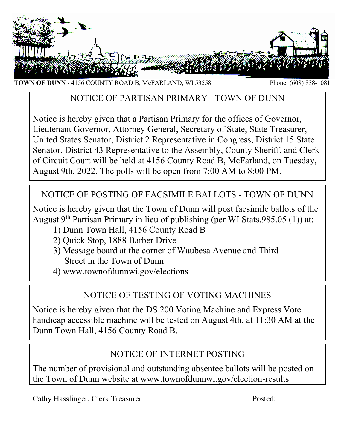

**TOWN OF DUNN** - 4156 COUNTY ROAD B, McFARLAND, WI 53558 Phone: (608) 838-1081

# NOTICE OF PARTISAN PRIMARY - TOWN OF DUNN

Notice is hereby given that a Partisan Primary for the offices of Governor, Lieutenant Governor, Attorney General, Secretary of State, State Treasurer, United States Senator, District 2 Representative in Congress, District 15 State Senator, District 43 Representative to the Assembly, County Sheriff, and Clerk of Circuit Court will be held at 4156 County Road B, McFarland, on Tuesday, August 9th, 2022. The polls will be open from 7:00 AM to 8:00 PM.

# NOTICE OF POSTING OF FACSIMILE BALLOTS - TOWN OF DUNN

Notice is hereby given that the Town of Dunn will post facsimile ballots of the August  $9<sup>th</sup>$  Partisan Primary in lieu of publishing (per WI Stats.985.05 (1)) at:

- 1) Dunn Town Hall, 4156 County Road B
- 2) Quick Stop, 1888 Barber Drive
- 3) Message board at the corner of Waubesa Avenue and Third Street in the Town of Dunn
- 4) www.townofdunnwi.gov/elections

# NOTICE OF TESTING OF VOTING MACHINES

Notice is hereby given that the DS 200 Voting Machine and Express Vote handicap accessible machine will be tested on August 4th, at 11:30 AM at the Dunn Town Hall, 4156 County Road B.

# NOTICE OF INTERNET POSTING

The number of provisional and outstanding absentee ballots will be posted on the Town of Dunn website at www.townofdunnwi.gov/election-results

Cathy Hasslinger, Clerk Treasurer Posted: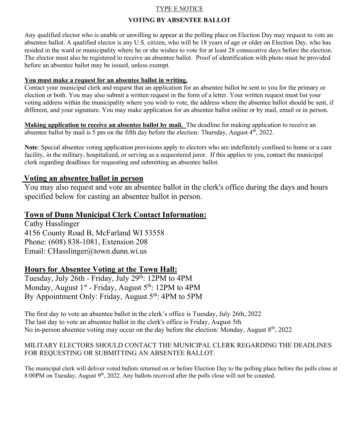#### TYPE E NOTICE

#### **VOTING BY ABSENTEE BALLOT**

Any qualified elector who is unable or unwilling to appear at the polling place on Election Day may request to vote an absentee ballot. A qualified elector is any U.S. citizen, who will be 18 years of age or older on Election Day, who has resided in the ward or municipality where he or she wishes to vote for at least 28 consecutive days before the election. The elector must also be registered to receive an absentee ballot. Proof of identification with photo must be provided before an absentee ballot may be issued, unless exempt.

#### **You must make a request for an absentee ballot in writing.**

Contact your municipal clerk and request that an application for an absentee ballot be sent to you for the primary or election or both. You may also submit a written request in the form of a letter. Your written request must list your voting address within the municipality where you wish to vote, the address where the absentee ballot should be sent, if different, and your signature. You may make application for an absentee ballot online or by mail, email or in person.

**Making application to receive an absentee ballot by mail.** The deadline for making application to receive an absentee ballot by mail is 5 pm on the fifth day before the election: Thursday, August  $4<sup>th</sup>$ , 2022.

**Note**: Special absentee voting application provisions apply to electors who are indefinitely confined to home or a care facility, in the military, hospitalized, or serving as a sequestered juror. If this applies to you, contact the municipal clerk regarding deadlines for requesting and submitting an absentee ballot.

### **Voting an absentee ballot in person**

You may also request and vote an absentee ballot in the clerk's office during the days and hours specified below for casting an absentee ballot in person.

## **Town of Dunn Municipal Clerk Contact Information:**

Cathy Hasslinger 4156 County Road B, McFarland WI 53558 Phone: (608) 838-1081, Extension 208 Email: CHasslinger@town.dunn.wi.us

## **Hours for Absentee Voting at the Town Hall:**

Tuesday, July 26th - Friday, July 29<sup>th</sup>: 12PM to 4PM Monday, August 1<sup>st</sup> - Friday, August 5<sup>th</sup>: 12PM to 4PM By Appointment Only: Friday, August 5<sup>th</sup>: 4PM to 5PM

The first day to vote an absentee ballot in the clerk's office is Tuesday, July 26th, 2022 The last day to vote an absentee ballot in the clerk's office is Friday, August 5th No in-person absentee voting may occur on the day before the election: Monday, August  $8<sup>th</sup>$ , 2022

### MILITARY ELECTORS SHOULD CONTACT THE MUNICIPAL CLERK REGARDING THE DEADLINES FOR REQUESTING OR SUBMITTING AN ABSENTEE BALLOT.

The municipal clerk will deliver voted ballots returned on or before Election Day to the polling place before the polls close at 8:00PM on Tuesday, August 9<sup>th</sup>, 2022. Any ballots received after the polls close will not be counted.